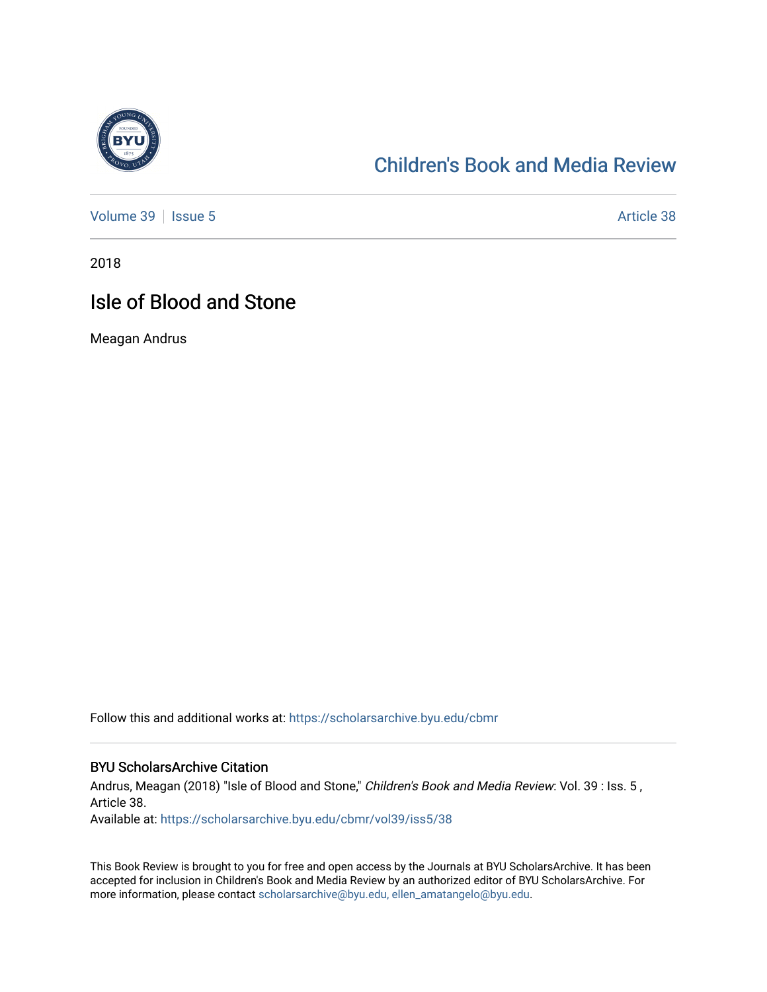

### [Children's Book and Media Review](https://scholarsarchive.byu.edu/cbmr)

[Volume 39](https://scholarsarchive.byu.edu/cbmr/vol39) | [Issue 5](https://scholarsarchive.byu.edu/cbmr/vol39/iss5) Article 38

2018

### Isle of Blood and Stone

Meagan Andrus

Follow this and additional works at: [https://scholarsarchive.byu.edu/cbmr](https://scholarsarchive.byu.edu/cbmr?utm_source=scholarsarchive.byu.edu%2Fcbmr%2Fvol39%2Fiss5%2F38&utm_medium=PDF&utm_campaign=PDFCoverPages) 

#### BYU ScholarsArchive Citation

Andrus, Meagan (2018) "Isle of Blood and Stone," Children's Book and Media Review: Vol. 39 : Iss. 5, Article 38.

Available at: [https://scholarsarchive.byu.edu/cbmr/vol39/iss5/38](https://scholarsarchive.byu.edu/cbmr/vol39/iss5/38?utm_source=scholarsarchive.byu.edu%2Fcbmr%2Fvol39%2Fiss5%2F38&utm_medium=PDF&utm_campaign=PDFCoverPages)

This Book Review is brought to you for free and open access by the Journals at BYU ScholarsArchive. It has been accepted for inclusion in Children's Book and Media Review by an authorized editor of BYU ScholarsArchive. For more information, please contact [scholarsarchive@byu.edu, ellen\\_amatangelo@byu.edu.](mailto:scholarsarchive@byu.edu,%20ellen_amatangelo@byu.edu)